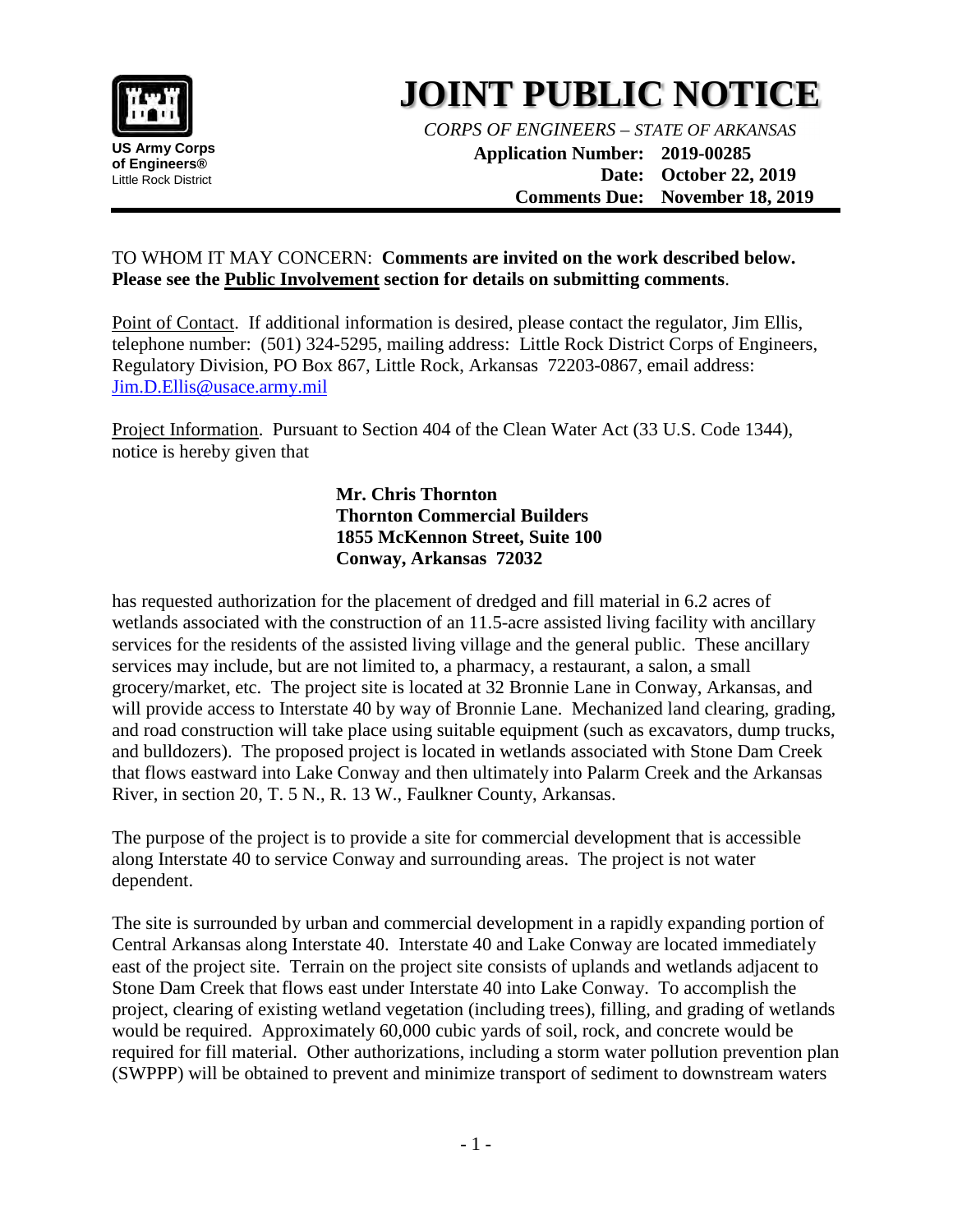

## **JOINT PUBLIC NOTICE**

*CORPS OF ENGINEERS – STATE OF ARKANSAS*

**Application Number: 2019-00285 Date: October 22, 2019 Comments Due: November 18, 2019**

## TO WHOM IT MAY CONCERN: **Comments are invited on the work described below. Please see the Public Involvement section for details on submitting comments**.

Point of Contact. If additional information is desired, please contact the regulator, Jim Ellis, telephone number: (501) 324-5295, mailing address: Little Rock District Corps of Engineers, Regulatory Division, PO Box 867, Little Rock, Arkansas 72203-0867, email address: Jim.D.Ellis@usace.army.mil

Project Information. Pursuant to Section 404 of the Clean Water Act (33 U.S. Code 1344), notice is hereby given that

> **Mr. Chris Thornton Thornton Commercial Builders 1855 McKennon Street, Suite 100 Conway, Arkansas 72032**

has requested authorization for the placement of dredged and fill material in 6.2 acres of wetlands associated with the construction of an 11.5-acre assisted living facility with ancillary services for the residents of the assisted living village and the general public. These ancillary services may include, but are not limited to, a pharmacy, a restaurant, a salon, a small grocery/market, etc. The project site is located at 32 Bronnie Lane in Conway, Arkansas, and will provide access to Interstate 40 by way of Bronnie Lane. Mechanized land clearing, grading, and road construction will take place using suitable equipment (such as excavators, dump trucks, and bulldozers). The proposed project is located in wetlands associated with Stone Dam Creek that flows eastward into Lake Conway and then ultimately into Palarm Creek and the Arkansas River, in section 20, T. 5 N., R. 13 W., Faulkner County, Arkansas.

The purpose of the project is to provide a site for commercial development that is accessible along Interstate 40 to service Conway and surrounding areas. The project is not water dependent.

The site is surrounded by urban and commercial development in a rapidly expanding portion of Central Arkansas along Interstate 40. Interstate 40 and Lake Conway are located immediately east of the project site. Terrain on the project site consists of uplands and wetlands adjacent to Stone Dam Creek that flows east under Interstate 40 into Lake Conway. To accomplish the project, clearing of existing wetland vegetation (including trees), filling, and grading of wetlands would be required. Approximately 60,000 cubic yards of soil, rock, and concrete would be required for fill material. Other authorizations, including a storm water pollution prevention plan (SWPPP) will be obtained to prevent and minimize transport of sediment to downstream waters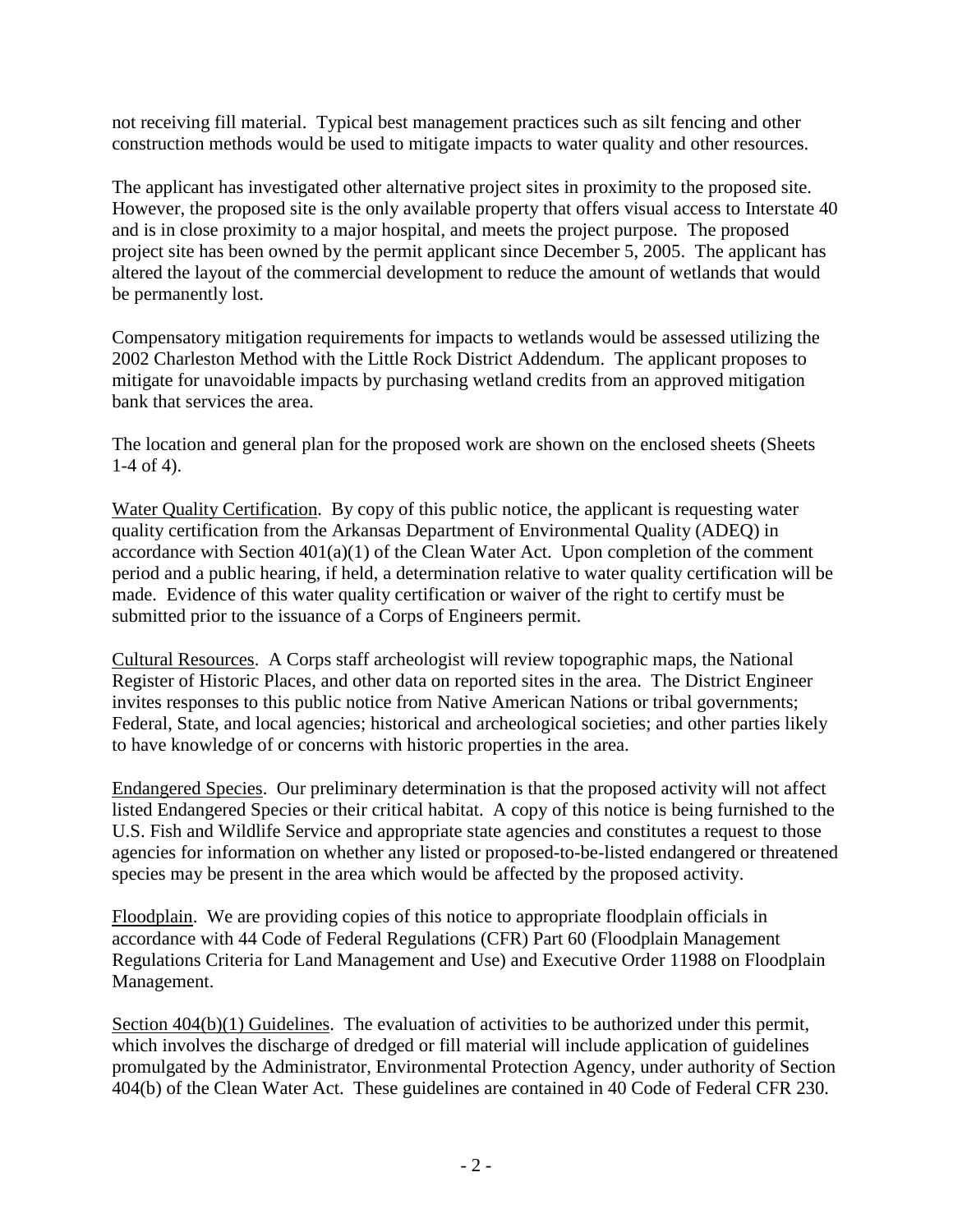not receiving fill material. Typical best management practices such as silt fencing and other construction methods would be used to mitigate impacts to water quality and other resources.

The applicant has investigated other alternative project sites in proximity to the proposed site. However, the proposed site is the only available property that offers visual access to Interstate 40 and is in close proximity to a major hospital, and meets the project purpose. The proposed project site has been owned by the permit applicant since December 5, 2005. The applicant has altered the layout of the commercial development to reduce the amount of wetlands that would be permanently lost.

Compensatory mitigation requirements for impacts to wetlands would be assessed utilizing the 2002 Charleston Method with the Little Rock District Addendum. The applicant proposes to mitigate for unavoidable impacts by purchasing wetland credits from an approved mitigation bank that services the area.

The location and general plan for the proposed work are shown on the enclosed sheets (Sheets 1-4 of 4).

Water Quality Certification. By copy of this public notice, the applicant is requesting water quality certification from the Arkansas Department of Environmental Quality (ADEQ) in accordance with Section 401(a)(1) of the Clean Water Act. Upon completion of the comment period and a public hearing, if held, a determination relative to water quality certification will be made. Evidence of this water quality certification or waiver of the right to certify must be submitted prior to the issuance of a Corps of Engineers permit.

Cultural Resources. A Corps staff archeologist will review topographic maps, the National Register of Historic Places, and other data on reported sites in the area. The District Engineer invites responses to this public notice from Native American Nations or tribal governments; Federal, State, and local agencies; historical and archeological societies; and other parties likely to have knowledge of or concerns with historic properties in the area.

Endangered Species. Our preliminary determination is that the proposed activity will not affect listed Endangered Species or their critical habitat. A copy of this notice is being furnished to the U.S. Fish and Wildlife Service and appropriate state agencies and constitutes a request to those agencies for information on whether any listed or proposed-to-be-listed endangered or threatened species may be present in the area which would be affected by the proposed activity.

Floodplain. We are providing copies of this notice to appropriate floodplain officials in accordance with 44 Code of Federal Regulations (CFR) Part 60 (Floodplain Management Regulations Criteria for Land Management and Use) and Executive Order 11988 on Floodplain Management.

Section 404(b)(1) Guidelines. The evaluation of activities to be authorized under this permit, which involves the discharge of dredged or fill material will include application of guidelines promulgated by the Administrator, Environmental Protection Agency, under authority of Section 404(b) of the Clean Water Act. These guidelines are contained in 40 Code of Federal CFR 230.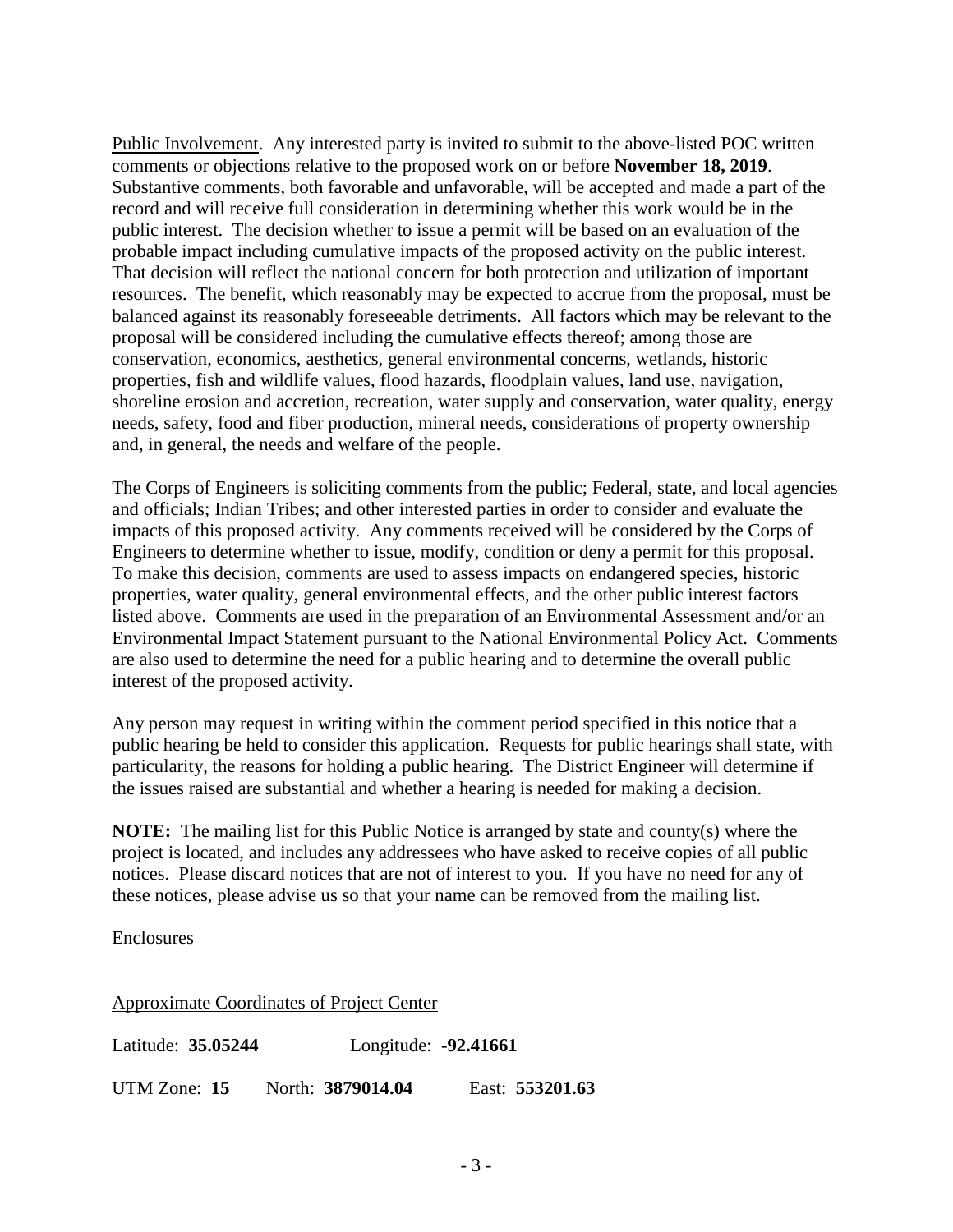Public Involvement. Any interested party is invited to submit to the above-listed POC written comments or objections relative to the proposed work on or before **November 18, 2019**. Substantive comments, both favorable and unfavorable, will be accepted and made a part of the record and will receive full consideration in determining whether this work would be in the public interest. The decision whether to issue a permit will be based on an evaluation of the probable impact including cumulative impacts of the proposed activity on the public interest. That decision will reflect the national concern for both protection and utilization of important resources. The benefit, which reasonably may be expected to accrue from the proposal, must be balanced against its reasonably foreseeable detriments. All factors which may be relevant to the proposal will be considered including the cumulative effects thereof; among those are conservation, economics, aesthetics, general environmental concerns, wetlands, historic properties, fish and wildlife values, flood hazards, floodplain values, land use, navigation, shoreline erosion and accretion, recreation, water supply and conservation, water quality, energy needs, safety, food and fiber production, mineral needs, considerations of property ownership and, in general, the needs and welfare of the people.

The Corps of Engineers is soliciting comments from the public; Federal, state, and local agencies and officials; Indian Tribes; and other interested parties in order to consider and evaluate the impacts of this proposed activity. Any comments received will be considered by the Corps of Engineers to determine whether to issue, modify, condition or deny a permit for this proposal. To make this decision, comments are used to assess impacts on endangered species, historic properties, water quality, general environmental effects, and the other public interest factors listed above. Comments are used in the preparation of an Environmental Assessment and/or an Environmental Impact Statement pursuant to the National Environmental Policy Act. Comments are also used to determine the need for a public hearing and to determine the overall public interest of the proposed activity.

Any person may request in writing within the comment period specified in this notice that a public hearing be held to consider this application. Requests for public hearings shall state, with particularity, the reasons for holding a public hearing. The District Engineer will determine if the issues raised are substantial and whether a hearing is needed for making a decision.

**NOTE:** The mailing list for this Public Notice is arranged by state and county(s) where the project is located, and includes any addressees who have asked to receive copies of all public notices. Please discard notices that are not of interest to you. If you have no need for any of these notices, please advise us so that your name can be removed from the mailing list.

Enclosures

Approximate Coordinates of Project Center

| Latitude: 35.05244 | Longitude: -92.41661 |  |
|--------------------|----------------------|--|
|                    |                      |  |

UTM Zone: **15** North: **3879014.04** East: **553201.63**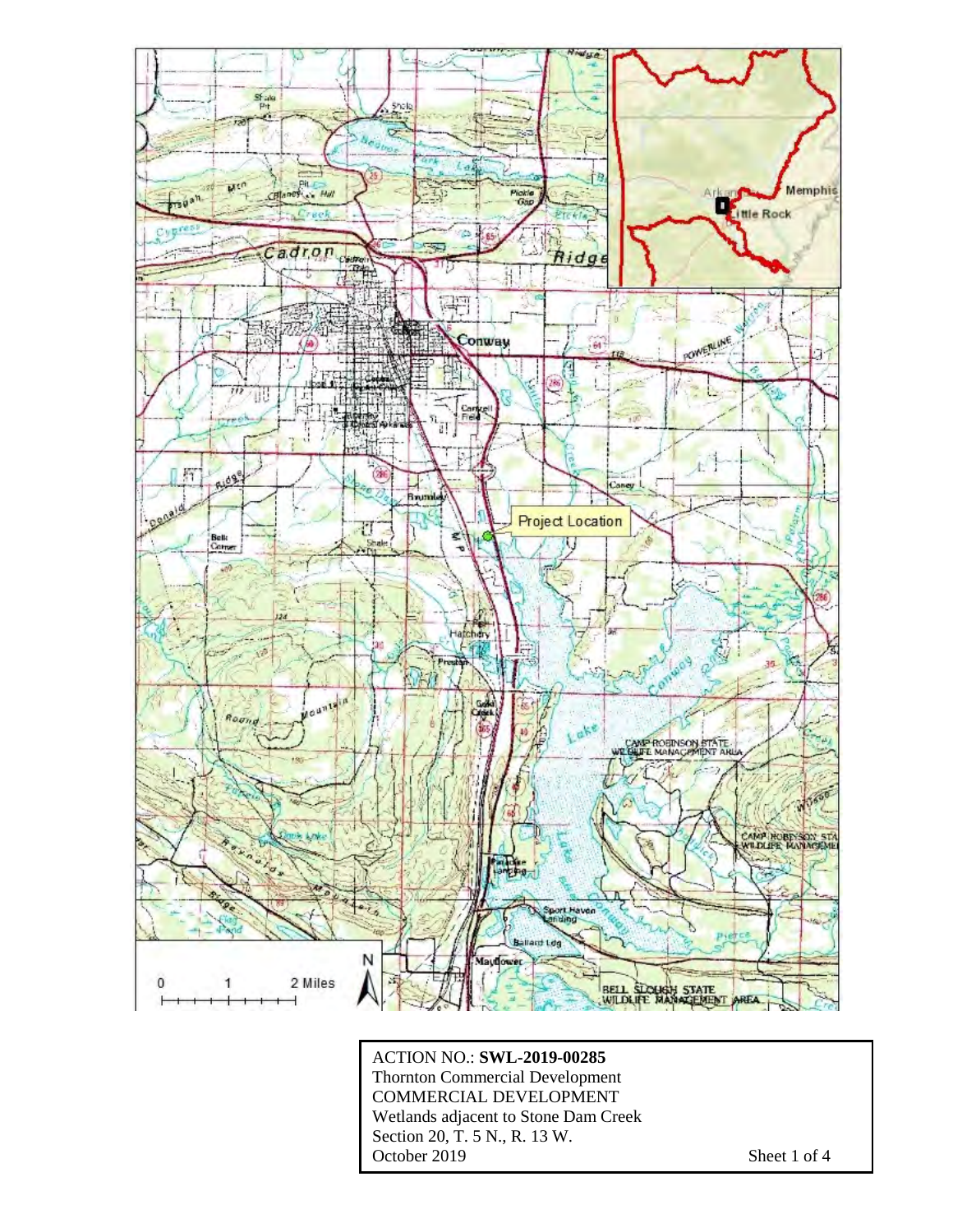

ACTION NO.: **SWL-2019-00285** Thornton Commercial Development COMMERCIAL DEVELOPMENT Wetlands adjacent to Stone Dam Creek Section 20, T. 5 N., R. 13 W. October 2019 Sheet 1 of 4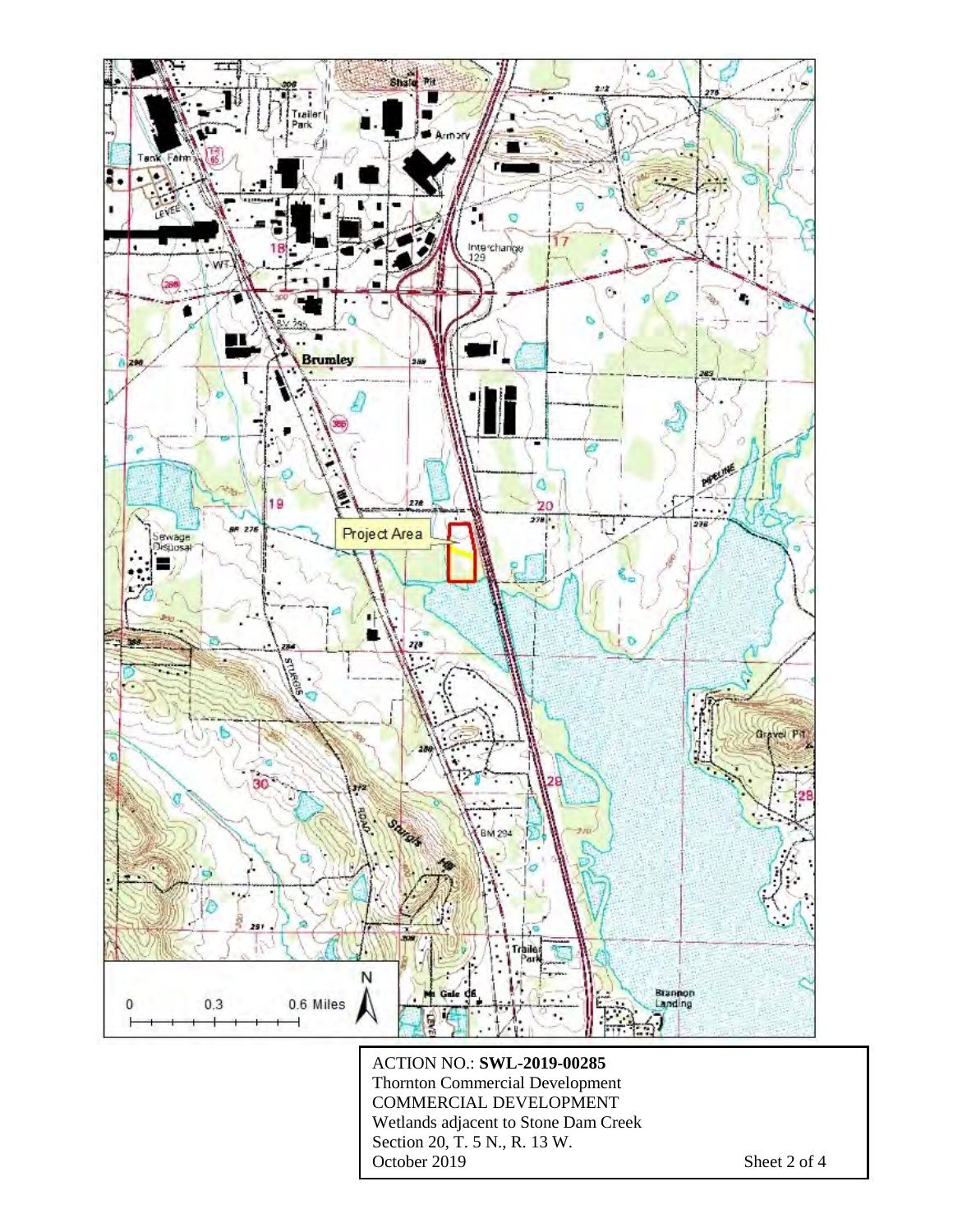

ACTION NO.: **SWL-2019-00285** Thornton Commercial Development COMMERCIAL DEVELOPMENT Wetlands adjacent to Stone Dam Creek Section 20, T. 5 N., R. 13 W. October 2019 Sheet 2 of 4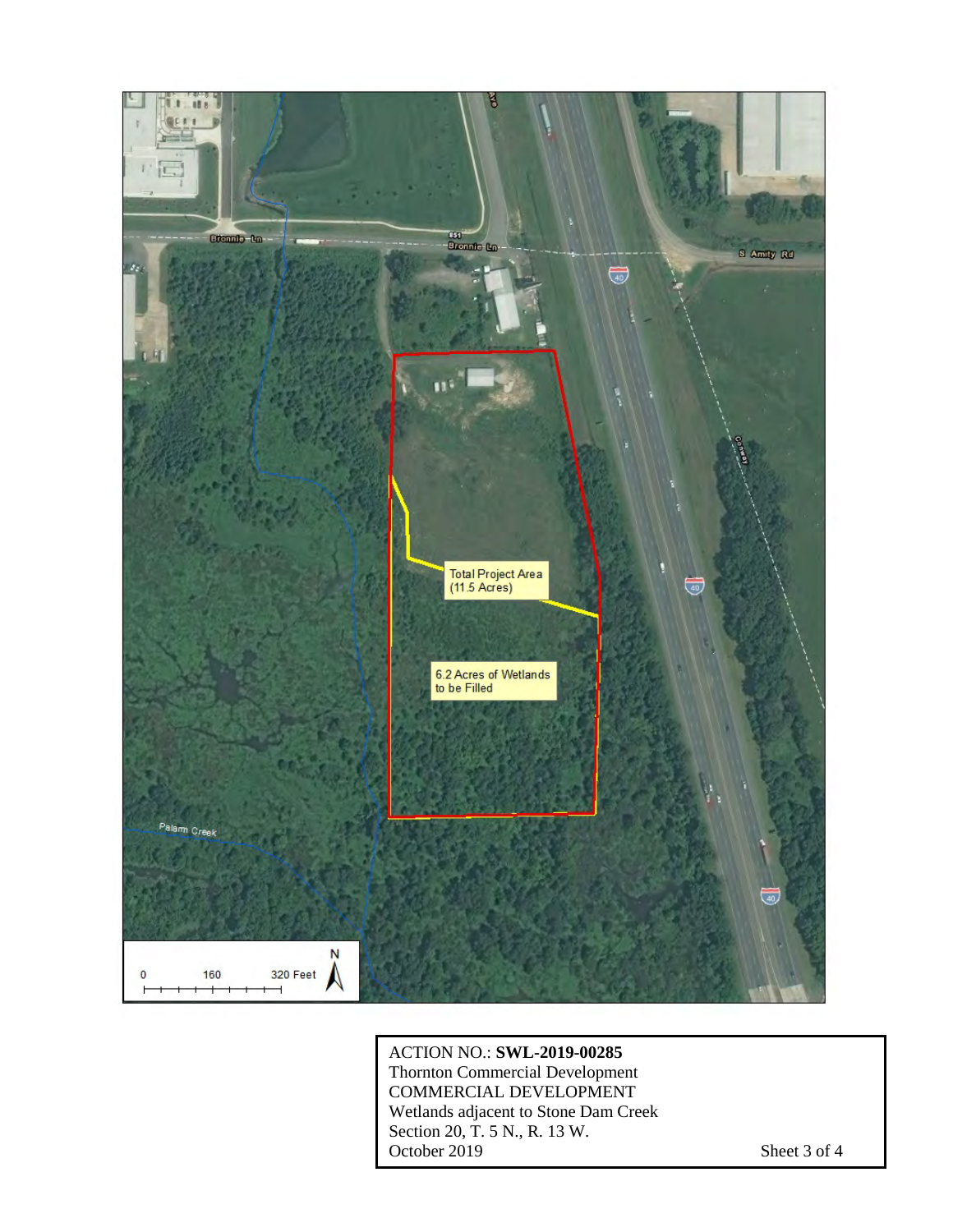

ACTION NO.: **SWL-2019-00285** Thornton Commercial Development COMMERCIAL DEVELOPMENT Wetlands adjacent to Stone Dam Creek Section 20, T. 5 N., R. 13 W. October 2019 Sheet 3 of 4